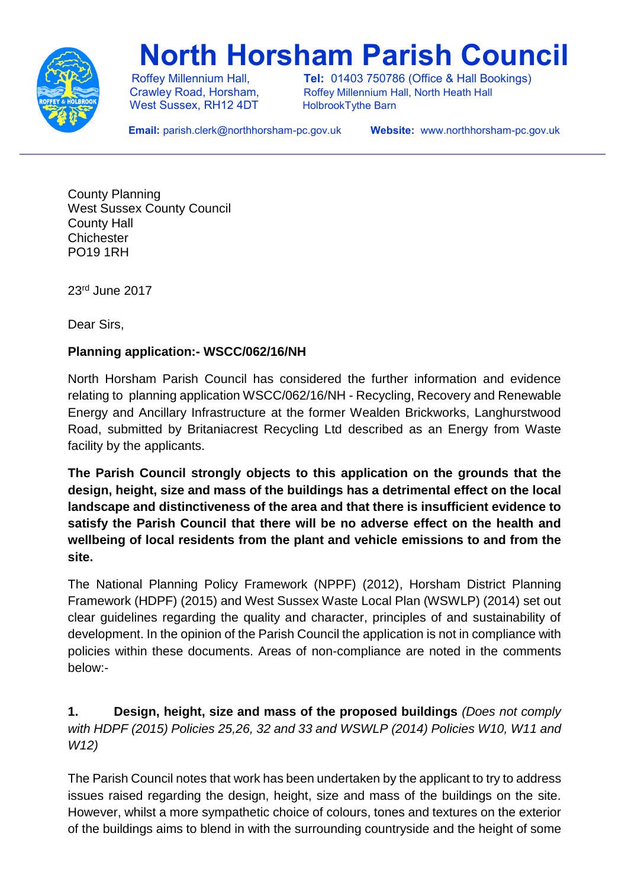

# **North Horsham Parish Council**

West Sussex, RH12 4DT HolbrookTythe Barn

 Roffey Millennium Hall, **Tel:** 01403 750786 (Office & Hall Bookings) Crawley Road, Horsham, Roffey Millennium Hall, North Heath Hall

 **Email:** parish.clerk@northhorsham-pc.gov.uk **Website:** www.northhorsham-pc.gov.uk

County Planning West Sussex County Council County Hall **Chichester** PO19 1RH

23rd June 2017

Dear Sirs,

## **Planning application:- WSCC/062/16/NH**

North Horsham Parish Council has considered the further information and evidence relating to planning application WSCC/062/16/NH - Recycling, Recovery and Renewable Energy and Ancillary Infrastructure at the former Wealden Brickworks, Langhurstwood Road, submitted by Britaniacrest Recycling Ltd described as an Energy from Waste facility by the applicants.

**The Parish Council strongly objects to this application on the grounds that the design, height, size and mass of the buildings has a detrimental effect on the local landscape and distinctiveness of the area and that there is insufficient evidence to satisfy the Parish Council that there will be no adverse effect on the health and wellbeing of local residents from the plant and vehicle emissions to and from the site.**

The National Planning Policy Framework (NPPF) (2012), Horsham District Planning Framework (HDPF) (2015) and West Sussex Waste Local Plan (WSWLP) (2014) set out clear guidelines regarding the quality and character, principles of and sustainability of development. In the opinion of the Parish Council the application is not in compliance with policies within these documents. Areas of non-compliance are noted in the comments below:-

**1. Design, height, size and mass of the proposed buildings** *(Does not comply with HDPF (2015) Policies 25,26, 32 and 33 and WSWLP (2014) Policies W10, W11 and W12)*

The Parish Council notes that work has been undertaken by the applicant to try to address issues raised regarding the design, height, size and mass of the buildings on the site. However, whilst a more sympathetic choice of colours, tones and textures on the exterior of the buildings aims to blend in with the surrounding countryside and the height of some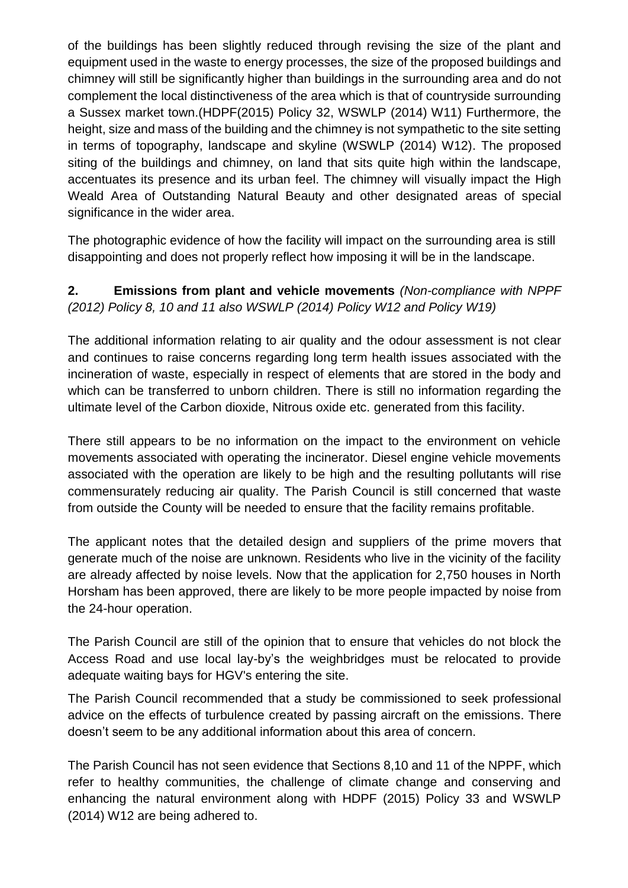of the buildings has been slightly reduced through revising the size of the plant and equipment used in the waste to energy processes, the size of the proposed buildings and chimney will still be significantly higher than buildings in the surrounding area and do not complement the local distinctiveness of the area which is that of countryside surrounding a Sussex market town.(HDPF(2015) Policy 32, WSWLP (2014) W11) Furthermore, the height, size and mass of the building and the chimney is not sympathetic to the site setting in terms of topography, landscape and skyline (WSWLP (2014) W12). The proposed siting of the buildings and chimney, on land that sits quite high within the landscape, accentuates its presence and its urban feel. The chimney will visually impact the High Weald Area of Outstanding Natural Beauty and other designated areas of special significance in the wider area.

The photographic evidence of how the facility will impact on the surrounding area is still disappointing and does not properly reflect how imposing it will be in the landscape.

## **2. Emissions from plant and vehicle movements** *(Non-compliance with NPPF (2012) Policy 8, 10 and 11 also WSWLP (2014) Policy W12 and Policy W19)*

The additional information relating to air quality and the odour assessment is not clear and continues to raise concerns regarding long term health issues associated with the incineration of waste, especially in respect of elements that are stored in the body and which can be transferred to unborn children. There is still no information regarding the ultimate level of the Carbon dioxide, Nitrous oxide etc. generated from this facility.

There still appears to be no information on the impact to the environment on vehicle movements associated with operating the incinerator. Diesel engine vehicle movements associated with the operation are likely to be high and the resulting pollutants will rise commensurately reducing air quality. The Parish Council is still concerned that waste from outside the County will be needed to ensure that the facility remains profitable.

The applicant notes that the detailed design and suppliers of the prime movers that generate much of the noise are unknown. Residents who live in the vicinity of the facility are already affected by noise levels. Now that the application for 2,750 houses in North Horsham has been approved, there are likely to be more people impacted by noise from the 24-hour operation.

The Parish Council are still of the opinion that to ensure that vehicles do not block the Access Road and use local lay-by's the weighbridges must be relocated to provide adequate waiting bays for HGV's entering the site.

The Parish Council recommended that a study be commissioned to seek professional advice on the effects of turbulence created by passing aircraft on the emissions. There doesn't seem to be any additional information about this area of concern.

The Parish Council has not seen evidence that Sections 8,10 and 11 of the NPPF, which refer to healthy communities, the challenge of climate change and conserving and enhancing the natural environment along with HDPF (2015) Policy 33 and WSWLP (2014) W12 are being adhered to.